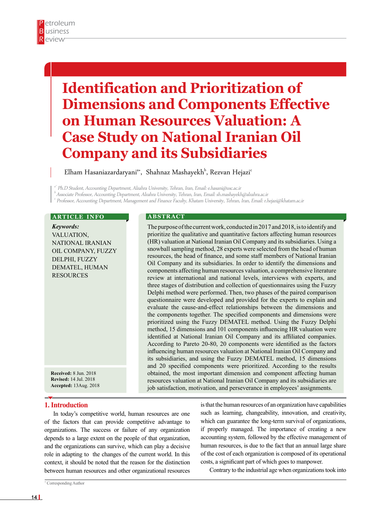# **Identification and Prioritization of Dimensions and Components Effective on Human Resources Valuation: A Case Study on National Iranian Oil Company and its Subsidiaries**

Elham Hasaniazardaryani $^{\text{a}\ast}$ , Shahnaz Mashayekh $^{\text{b}}$ , Rezvan Hejazi $^{\text{c}}$ 

<sup>a</sup>\* Ph.D Student, Accounting Department, Alzahra University, Tehran, Iran, Email: e.hasani@usc.ac.ir

<sup>b</sup>Associate Professor, Accounting Department, Alzahra University, Tehran, Iran, Email: sh.mashayekh@alzahra.ac.ir

c Professor, Accounting Department, Management and Finance Faculty, Khatam University, Tehran, Iran, Email: r.hejazi@khatam.ac.ir

#### **ARTICLE INFO**

*Keywords:* VALUATION, National Iranian Oil Company, Fuzzy Delphi, Fuzzy DEMATEL, Human **RESOURCES** 

#### **A B S T R A C T**

The purpose of the current work, conducted in 2017 and 2018, is to identify and prioritize the qualitative and quantitative factors affecting human resources (HR) valuation at National Iranian Oil Company and its subsidiaries. Using a snowball sampling method, 28 experts were selected from the head of human resources, the head of finance, and some staff members of National Iranian Oil Company and its subsidiaries. In order to identify the dimensions and components affecting human resources valuation, a comprehensive literature review at international and national levels, interviews with experts, and three stages of distribution and collection of questionnaires using the Fuzzy Delphi method were performed. Then, two phases of the paired comparison questionnaire were developed and provided for the experts to explain and evaluate the cause-and-effect relationships between the dimensions and the components together. The specified components and dimensions were prioritized using the Fuzzy DEMATEL method. Using the Fuzzy Delphi method, 15 dimensions and 101 components influencing HR valuation were identified at National Iranian Oil Company and its affiliated companies. According to Pareto 20-80, 20 components were identified as the factors influencing human resources valuation at National Iranian Oil Company and its subsidiaries, and using the Fuzzy DEMATEL method, 15 dimensions and 20 specified components were prioritized. According to the results obtained, the most important dimension and component affecting human resources valuation at National Iranian Oil Company and its subsidiaries are job satisfaction, motivation, and perseverance in employees' assignments.

## **Accepted:** 13Aug. 2018

**Received:** 8 Jun. 2018 **Revised:** 14 Jul. 2018

#### **1. Introduction**

In today's competitive world, human resources are one of the factors that can provide competitive advantage to organizations. The success or failure of any organization depends to a large extent on the people of that organization, and the organizations can survive, which can play a decisive role in adapting to the changes of the current world. In this context, it should be noted that the reason for the distinction between human resources and other organizational resources

is that the human resources of an organization have capabilities such as learning, changeability, innovation, and creativity, which can guarantee the long-term survival of organizations, if properly managed. The importance of creating a new accounting system, followed by the effective management of human resources, is due to the fact that an annual large share of the cost of each organization is composed of its operational costs, a significant part of which goes to manpower.

Contrary to the industrial age when organizations took into

\* Corresponding Author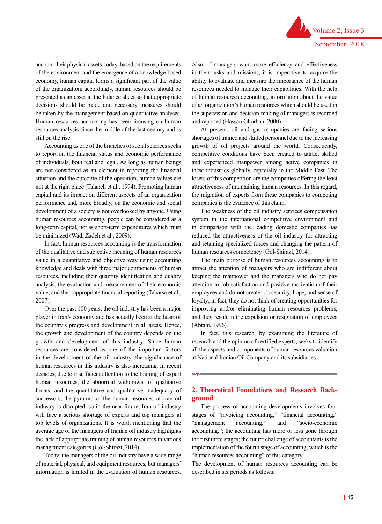account their physical assets, today, based on the requirements of the environment and the emergence of a knowledge-based economy, human capital forms a significant part of the value of the organization; accordingly, human resources should be presented as an asset in the balance sheet so that appropriate decisions should be made and necessary measures should be taken by the management based on quantitative analyses. Human resources accounting has been focusing on human resources analysis since the middle of the last century and is still on the rise.

Accounting as one of the branches of social sciences seeks to report on the financial status and economic performance of individuals, both real and legal. As long as human beings are not considered as an element in reporting the financial situation and the outcome of the operation, human values are not at the right place (Talaneh et al., 1994). Promoting human capital and its impact on different aspects of an organization performance and, more broadly, on the economic and social development of a society is not overlooked by anyone. Using human resources accounting, people can be considered as a long-term capital, not as short-term expenditures which must be minimized (Wadi Zadeh et al., 2009).

In fact, human resources accounting is the transformation of the qualitative and subjective meaning of human resources value in a quantitative and objective way using accounting knowledge and deals with three major components of human resources, including their quantity identification and quality analysis, the evaluation and measurement of their economic value, and their appropriate financial reporting (Tabarsa et al., 2007).

Over the past 100 years, the oil industry has been a major player in Iran's economy and has actually been at the heart of the country's progress and development in all areas. Hence, the growth and development of the country depends on the growth and development of this industry. Since human resources are considered as one of the important factors in the development of the oil industry, the significance of human resources in this industry is also increasing. In recent decades, due to insufficient attention to the training of expert human resources, the abnormal withdrawal of qualitative forces, and the quantitative and qualitative inadequacy of successors, the pyramid of the human resources of Iran oil industry is disrupted, so in the near future, Iran oil industry will face a serious shortage of experts and top managers at top levels of organizations. It is worth mentioning that the average age of the managers of Iranian oil industry highlights the lack of appropriate training of human resources in various management categories (Gol-Shirazi, 2014).

Today, the managers of the oil industry have a wide range of material, physical, and equipment resources, but managers' information is limited in the evaluation of human resources.

Also, if managers want more efficiency and effectiveness in their tasks and missions, it is imperative to acquire the ability to evaluate and measure the importance of the human resources needed to manage their capabilities. With the help of human resources accounting, information about the value of an organization's human resources which should be used in the supervision and decision-making of managers is recorded and reported (Hassan Ghorban, 2000).

At present, oil and gas companies are facing serious shortages of trained and skilled personnel due to the increasing growth of oil projects around the world. Consequently, competitive conditions have been created to attract skilled and experienced manpower among active companies in these industries globally, especially in the Middle East. The losers of this competition are the companies offering the least attractiveness of maintaining human resources. In this regard, the migration of experts from these companies to competing companies is the evidence of this claim.

The weakness of the oil industry services compensation system in the international competitive environment and in comparison with the leading domestic companies has reduced the attractiveness of the oil industry for attracting and retaining specialized forces and changing the pattern of human resources competency (Gol-Shirazi, 2014).

The main purpose of human resources accounting is to attract the attention of managers who are indifferent about keeping the manpower and the managers who do not pay attention to job satisfaction and positive motivation of their employees and do not create job security, hope, and sense of loyalty; in fact, they do not think of creating opportunities for improving and/or eliminating human resources problems, and they result in the expulsion or resignation of employees (Abtahi, 1996).

In fact, this research, by examining the literature of research and the opinion of certified experts, seeks to identify all the aspects and components of human resources valuation at National Iranian Oil Company and its subsidiaries.

### **2. Theoretical Foundations and Research Background**

The process of accounting developments involves four stages of "invoicing accounting," "financial accounting," "management accounting," and "socio-economic accounting,"; the accounting has more or less gone through the first three stages; the future challenge of accountants is the implementation of the fourth stage of accounting, which is the "human resources accounting" of this category.

The development of human resources accounting can be described in six periods as follows: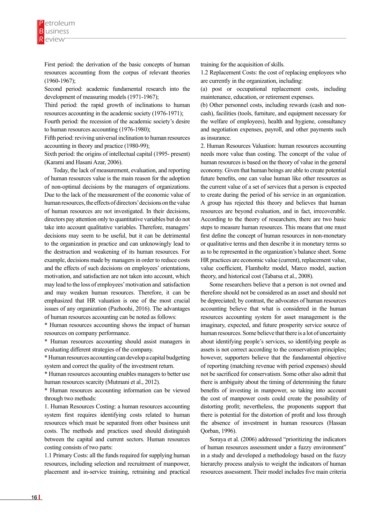First period: the derivation of the basic concepts of human resources accounting from the corpus of relevant theories (1960-1967);

Second period: academic fundamental research into the development of measuring models (1971-1967);

Third period: the rapid growth of inclinations to human resources accounting in the academic society (1976-1971);

Fourth period: the recession of the academic society's desire to human resources accounting (1976-1980);

Fifth period: reviving universal inclination to human resources accounting in theory and practice (1980-99);

Sixth period: the origins of intellectual capital (1995- present) (Karami and Hasani Azar, 2006).

Today, the lack of measurement, evaluation, and reporting of human resources value is the main reason for the adoption of non-optimal decisions by the managers of organizations. Due to the lack of the measurement of the economic value of human resources, the effects of directors' decisions on the value of human resources are not investigated. In their decisions, directors pay attention only to quantitative variables but do not take into account qualitative variables. Therefore, managers' decisions may seem to be useful, but it can be detrimental to the organization in practice and can unknowingly lead to the destruction and weakening of its human resources. For example, decisions made by managers in order to reduce costs and the effects of such decisions on employees' orientations, motivation, and satisfaction are not taken into account, which may lead to the loss of employees' motivation and satisfaction and may weaken human resources. Therefore, it can be emphasized that HR valuation is one of the most crucial issues of any organization (Pazhoohi, 2016). The advantages of human resources accounting can be noted as follows:

\* Human resources accounting shows the impact of human resources on company performance.

\* Human resources accounting should assist managers in evaluating different strategies of the company.

\* Human resources accounting can develop a capital budgeting system and correct the quality of the investment return.

\* Human resources accounting enables managers to better use human resources scarcity (Mutmani et al., 2012).

\* Human resources accounting information can be viewed through two methods:

1. Human Resources Costing: a human resources accounting system first requires identifying costs related to human resources which must be separated from other business unit costs. The methods and practices used should distinguish between the capital and current sectors. Human resources costing consists of two parts:

1.1 Primary Costs: all the funds required for supplying human resources, including selection and recruitment of manpower, placement and in-service training, retraining and practical training for the acquisition of skills.

1.2 Replacement Costs: the cost of replacing employees who are currently in the organization, including:

(a) post or occupational replacement costs, including maintenance, education, or retirement expenses.

(b) Other personnel costs, including rewards (cash and noncash), facilities (tools, furniture, and equipment necessary for the welfare of employees), health and hygiene, consultancy and negotiation expenses, payroll, and other payments such as insurance.

2. Human Resources Valuation: human resources accounting needs more value than costing. The concept of the value of human resources is based on the theory of value in the general economy. Given that human beings are able to create potential future benefits, one can value human like other resources as the current value of a set of services that a person is expected to create during the period of his service in an organization. A group has rejected this theory and believes that human resources are beyond evaluation, and in fact, irrecoverable. According to the theory of researchers, there are two basic steps to measure human resources. This means that one must first define the concept of human resources in non-monetary or qualitative terms and then describe it in monetary terms so as to be represented in the organization's balance sheet. Some HR practices are economic value (current), replacement value, value coefficient, Flamholtz model, Marco model, auction theory, and historical cost (Tabarsa et al., 2008).

Some researchers believe that a person is not owned and therefore should not be considered as an asset and should not be depreciated; by contrast, the advocates of human resources accounting believe that what is considered in the human resources accounting system for asset management is the imaginary, expected, and future prosperity service source of human resources. Some believe that there is a lot of uncertainty about identifying people's services, so identifying people as assets is not correct according to the conservatism principles; however, supporters believe that the fundamental objective of reporting (matching revenue with period expenses) should not be sacrificed for conservatism. Some other also admit that there is ambiguity about the timing of determining the future benefits of investing in manpower, so taking into account the cost of manpower costs could create the possibility of distorting profit; nevertheless, the proponents support that there is potential for the distortion of profit and loss through the absence of investment in human resources (Hassan Qorban, 1996).

Soraya et al. (2006) addressed "prioritizing the indicators of human resources assessment under a fuzzy environment" in a study and developed a methodology based on the fuzzy hierarchy process analysis to weight the indicators of human resources assessment. Their model includes five main criteria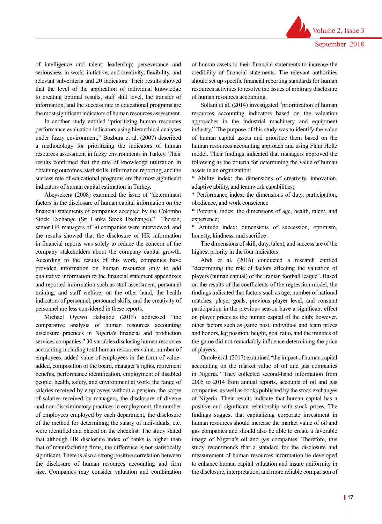of intelligence and talent; leadership; perseverance and seriousness in work; initiative; and creativity, flexibility, and relevant sub-criteria and 20 indicators. Their results showed that the level of the application of individual knowledge to creating optimal results, staff skill level, the transfer of information, and the success rate in educational programs are the most significant indicators of human resources assessment.

In another study entitled "prioritizing human resources performance evaluation indicators using hierarchical analyses under fuzzy environment," Bozbura et al. (2007) described a methodology for prioritizing the indicators of human resources assessment in fuzzy environments in Turkey. Their results confirmed that the rate of knowledge utilization in obtaining outcomes, staff skills, information reporting, and the success rate of educational programs are the most significant indicators of human capital estimation in Turkey.

Abeysekera (2008) examined the issue of "determinant factors in the disclosure of human capital information on the financial statements of companies accepted by the Colombo Stock Exchange (Sri Lanka Stock Exchange)." Therein, senior HR managers of 30 companies were interviewed, and the results showed that the disclosure of HR information in financial reports was solely to reduce the concern of the company stakeholders about the company capital growth. According to the results of this work, companies have provided information on human resources only to add qualitative information to the financial statement appendixes and reported information such as staff assessment, personnel training, and staff welfare; on the other hand, the health indicators of personnel, personnel skills, and the creativity of personnel are less considered in these reports.

Michael Oyewo Babajide (2013) addressed "the comparative analysis of human resources accounting disclosure practices in Nigeria's financial and production services companies." 30 variables disclosing human resources accounting including total human resources value, number of employees, added value of employees in the form of valueadded, composition of the board, manager's rights, retirement benefits, performance identification, employment of disabled people, health, safety, and environment at work, the range of salaries received by employees without a pension, the scope of salaries received by managers, the disclosure of diverse and non-discriminatory practices in employment, the number of employees employed by each department, the disclosure of the method for determining the salary of individuals, etc. were identified and placed on the checklist. The study stated that although HR disclosure index of banks is higher than that of manufacturing firms, the difference is not statistically significant. There is also a strong positive correlation between the disclosure of human resources accounting and firm size. Companies may consider valuation and combination

of human assets in their financial statements to increase the credibility of financial statements. The relevant authorities should set up specific financial reporting standards for human resources activities to resolve the issues of arbitrary disclosure of human resources accounting.

Soltani et al. (2014) investigated "prioritization of human resources accounting indicators based on the valuation approaches in the industrial machinery and equipment industry." The purpose of this study was to identify the value of human capital assets and prioritize them based on the human resources accounting approach and using Flam Holtz model. Their findings indicated that managers approved the following as the criteria for determining the value of human assets in an organization:

\* Ability index: the dimensions of creativity, innovation, adaptive ability, and teamwork capabilities;

\* Performance index: the dimensions of duty, participation, obedience, and work conscience

\* Potential index: the dimensions of age, health, talent, and experience;

\* Attitude index: dimensions of succession, optimism, honesty, kindness, and sacrifice .

The dimensions of skill, duty, talent, and success are of the highest priority in the four indicators.

Abdi et al. (2016) conducted a research entitled "determining the role of factors affecting the valuation of players (human capital) of the Iranian football league". Based on the results of the coefficients of the regression model, the findings indicated that factors such as age, number of national matches, player goals, previous player level, and constant participation in the previous season have a significant effect on player prices as the human capital of the club; however, other factors such as game post, individual and team prizes and honors, leg position, height, goal ratio, and the minutes of the game did not remarkably influence determining the price of players.

Omole et al. (2017) examined "the impact of human capital accounting on the market value of oil and gas companies in Nigeria." They collected second-hand information from 2005 to 2014 from annual reports, accounts of oil and gas companies, as well as books published by the stock exchanges of Nigeria. Their results indicate that human capital has a positive and significant relationship with stock prices. The findings suggest that capitalizing corporate investment in human resources should increase the market value of oil and gas companies and should also be able to create a favorable image of Nigeria's oil and gas companies. Therefore, this study recommends that a standard for the disclosure and measurement of human resources information be developed to enhance human capital valuation and insure uniformity in the disclosure, interpretation, and more reliable comparison of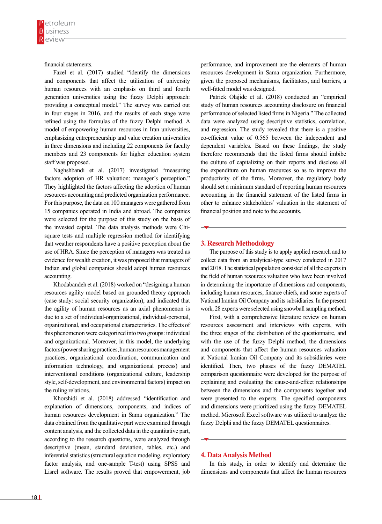financial statements.

Fazel et al. (2017) studied "identify the dimensions and components that affect the utilization of university human resources with an emphasis on third and fourth generation universities using the fuzzy Delphi approach: providing a conceptual model." The survey was carried out in four stages in 2016, and the results of each stage were refined using the formulas of the fuzzy Delphi method. A model of empowering human resources in Iran universities, emphasizing entrepreneurship and value creation universities in three dimensions and including 22 components for faculty members and 23 components for higher education system staff was proposed.

Naghshbandi et al. (2017) investigated "measuring factors adoption of HR valuation: manager's perception." They highlighted the factors affecting the adoption of human resources accounting and predicted organization performance. For this purpose, the data on 100 managers were gathered from 15 companies operated in India and abroad. The companies were selected for the purpose of this study on the basis of the invested capital. The data analysis methods were Chisquare tests and multiple regression method for identifying that weather respondents have a positive perception about the use of HRA. Since the perception of managers was treated as evidence for wealth creation, it was proposed that managers of Indian and global companies should adopt human resources accounting.

Khodabandeh et al. (2018) worked on "designing a human resources agility model based on grounded theory approach (case study: social security organization), and indicated that the agility of human resources as an axial phenomenon is due to a set of individual-organizational, individual-personal, organizational, and occupational characteristics. The effects of this phenomenon were categorized into two groups: individual and organizational. Moreover, in this model, the underlying factors (power sharing practices, human resources management practices, organizational coordination, communication and information technology, and organizational process) and interventional conditions (organizational culture, leadership style, self-development, and environmental factors) impact on the ruling relations.

Khorshidi et al. (2018) addressed "identification and explanation of dimensions, components, and indices of human resources development in Sama organization." The data obtained from the qualitative part were examined through content analysis, and the collected data in the quantitative part, according to the research questions, were analyzed through descriptive (mean, standard deviation, tables, etc.) and inferential statistics (structural equation modeling, exploratory factor analysis, and one-sample T-test) using SPSS and Lisrel software. The results proved that empowerment, job

performance, and improvement are the elements of human resources development in Sama organization. Furthermore, given the proposed mechanisms, facilitators, and barriers, a well-fitted model was designed.

Patrick Olajide et al. (2018) conducted an "empirical study of human resources accounting disclosure on financial performance of selected listed firms in Nigeria." The collected data were analyzed using descriptive statistics, correlation, and regression. The study revealed that there is a positive co-efficient value of 0.565 between the independent and dependent variables. Based on these findings, the study therefore recommends that the listed firms should imbibe the culture of capitalizing on their reports and disclose all the expenditure on human resources so as to improve the productivity of the firms. Moreover, the regulatory body should set a minimum standard of reporting human resources accounting in the financial statement of the listed firms in other to enhance stakeholders' valuation in the statement of financial position and note to the accounts.

#### **3. Research Methodology**

The purpose of this study is to apply applied research and to collect data from an analytical-type survey conducted in 2017 and 2018. The statistical population consisted of all the experts in the field of human resources valuation who have been involved in determining the importance of dimensions and components, including human resources, finance chiefs, and some experts of National Iranian Oil Company and its subsidiaries. In the present work, 28 experts were selected using snowball sampling method.

First, with a comprehensive literature review on human resources assessment and interviews with experts, with the three stages of the distribution of the questionnaire, and with the use of the fuzzy Delphi method, the dimensions and components that affect the human resources valuation at National Iranian Oil Company and its subsidiaries were identified. Then, two phases of the fuzzy DEMATEL comparison questionnaire were developed for the purpose of explaining and evaluating the cause-and-effect relationships between the dimensions and the components together and were presented to the experts. The specified components and dimensions were prioritized using the fuzzy DEMATEL method. Microsoft Excel software was utilized to analyze the fuzzy Delphi and the fuzzy DEMATEL questionnaires.

#### **4. Data Analysis Method**

In this study, in order to identify and determine the dimensions and components that affect the human resources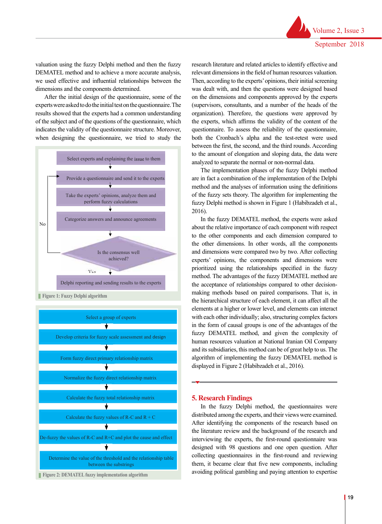valuation using the fuzzy Delphi method and then the fuzzy DEMATEL method and to achieve a more accurate analysis, we used effective and influential relationships between the dimensions and the components determined.

After the initial design of the questionnaire, some of the experts were asked to do the initial test on the questionnaire. The experies were associated to do the initial test of the question finite, the results showed that the experts had a common understanding of the subject and of the questions of the questionnaire, which indicates the validity of the questionnaire structure. Moreover, when designing the questionnaire, we tried to study the



**Figure 1: Fuzzy Delphi algorithm**



research literature and related articles to identify effective and relevant dimensions in the field of human resources valuation. Then, according to the experts' opinions, their initial screening was dealt with, and then the questions were designed based on the dimensions and components approved by the experts (supervisors, consultants, and a number of the heads of the organization). Therefore, the questions were approved by the experts, which affirms the validity of the content of the questionnaire. To assess the reliability of the questionnaire, both the Cronbach's alpha and the test-retest were used between the first, the second, and the third rounds. According to the amount of elongation and sloping data, the data were analyzed to separate the normal or non-normal data.

The implementation phases of the fuzzy Delphi method are in fact a combination of the implementation of the Delphi method and the analyses of information using the definitions of the fuzzy sets theory. The algorithm for implementing the fuzzy Delphi method is shown in Figure 1 (Habibzadeh et al., 2016).

In the fuzzy DEMATEL method, the experts were asked about the relative importance of each component with respect to the other components and each dimension compared to the other dimensions. In other words, all the components and dimensions were compared two by two. After collecting experts' opinions, the components and dimensions were prioritized using the relationships specified in the fuzzy method. The advantages of the fuzzy DEMATEL method are the acceptance of relationships compared to other decisionmaking methods based on paired comparisons. That is, in the hierarchical structure of each element, it can affect all the elements at a higher or lower level, and elements can interact with each other individually; also, structuring complex factors in the form of causal groups is one of the advantages of the fuzzy DEMATEL method, and given the complexity of human resources valuation at National Iranian Oil Company algorithm of implementing the fuzzy DEMATEL method is displayed in Figure 2 (Habibzadeh et al., 2016).

#### **5. Research Findings**

In the fuzzy Delphi method, the questionnaires were distributed among the experts, and their views were examined. After identifying the components of the research based on the literature review and the background of the research and interviewing the experts, the first-round questionnaire was designed with 98 questions and one open question. After collecting questionnaires in the first-round and reviewing them, it became clear that five new components, including avoiding political gambling and paying attention to expertise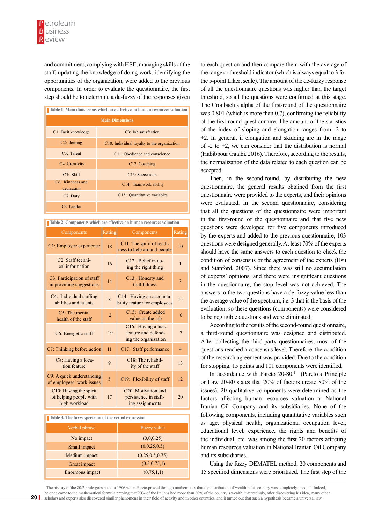and commitment, complying with HSE, managing skills of the staff, updating the knowledge of doing work, identifying the opportunities of the organization, were added to the previous components. In order to evaluate the questionnaire, the first step should be to determine a de-fuzzy of the responses given

| Table 1- Main dimensions which are effective on human resources valuation |                                             |  |  |  |  |  |  |
|---------------------------------------------------------------------------|---------------------------------------------|--|--|--|--|--|--|
| <b>Main Dimensions</b>                                                    |                                             |  |  |  |  |  |  |
| C1: Tacit knowledge                                                       | $C9$ : Job satisfaction                     |  |  |  |  |  |  |
| $C2$ : Joining                                                            | C10: Individual loyalty to the organization |  |  |  |  |  |  |
| $C3$ : Talent                                                             | C11: Obedience and conscience               |  |  |  |  |  |  |
| C4: Creativity                                                            | C12: Coaching                               |  |  |  |  |  |  |
| $C5:$ Skill                                                               | $C13:$ Succession                           |  |  |  |  |  |  |
| $C6$ : Kindness and<br>dedication                                         | C14: Teamwork ability                       |  |  |  |  |  |  |
| $C7:$ Duty                                                                | C15: Quantitative variables                 |  |  |  |  |  |  |
| $C8$ : Leader                                                             |                                             |  |  |  |  |  |  |

**Table 2- Components which are effective on human resources valuation**

| Components                                                        | Rating         | Components                                                                     | Rating         |
|-------------------------------------------------------------------|----------------|--------------------------------------------------------------------------------|----------------|
| C1: Employee experience                                           | 18             | C11: The spirit of readi-<br>ness to help around people                        | 10             |
| C <sub>2</sub> : Staff techni-<br>cal information                 | 16             | $C12$ : Belief in do-<br>ing the right thing                                   | $\mathbf{1}$   |
| C3: Participation of staff<br>in providing suggestions            | 14             | C13: Honesty and<br>truthfulness                                               | 3              |
| C4: Individual staffing<br>abilities and talents                  | 8              | C14: Having an accounta-<br>bility feature for employees                       | 15             |
| $C5$ : The mental<br>health of the staff                          | $\overline{2}$ | C15: Create added<br>value on the job                                          | 6              |
| C6: Energetic staff                                               | 19             | C <sub>16</sub> : Having a bias<br>feature and defend-<br>ing the organization | $\overline{7}$ |
| C7: Thinking before action                                        | 11             | C17: Staff performance                                                         | $\overline{4}$ |
| C8: Having a loca-<br>tion feature                                | 9              | C18: The reliabil-<br>ity of the staff                                         | 13             |
| C9: A quick understanding<br>of employees' work issues            | 5              | C19: Flexibility of staff                                                      | 12.            |
| C10: Having the spirit<br>of helping people with<br>high workload | 17             | C <sub>20</sub> : Motivation and<br>persistence in staff-<br>ing assignments   | 20             |

#### **Table 3- The fuzzy spectrum of the verbal expression**

| Verbal phrase   | Fuzzy value       |
|-----------------|-------------------|
| No impact       | (0,0,0.25)        |
| Small impact    | (0,0.25,0.5)      |
| Medium impact   | (0.25, 0.5, 0.75) |
| Great impact    | (0.5, 0.75, 1)    |
| Enormous impact | (0.75, 1, 1)      |
|                 |                   |

to each question and then compare them with the average of the range or threshold indicator (which is always equal to 3 for the 5-point Likert scale). The amount of the de-fuzzy response of all the questionnaire questions was higher than the target threshold, so all the questions were confirmed at this stage. The Cronbach's alpha of the first-round of the questionnaire was 0.801 (which is more than 0.7), confirming the reliability of the first-round questionnaire. The amount of the statistics of the index of sloping and elongation ranges from -2 to +2. In general, if elongation and skidding are in the range of  $-2$  to  $+2$ , we can consider that the distribution is normal (Habibpour Gatabi, 2016). Therefore, according to the results, the normalization of the data related to each question can be accepted.

Then, in the second-round, by distributing the new questionnaire, the general results obtained from the first questionnaire were provided to the experts, and their opinions were evaluated. In the second questionnaire, considering that all the questions of the questionnaire were important in the first-round of the questionnaire and that five new questions were developed for five components introduced by the experts and added to the previous questionnaire, 103 questions were designed generally. At least 70% of the experts should have the same answers to each question to check the condition of consensus or the agreement of the experts (Hsu and Stanford, 2007). Since there was still no accumulation of experts' opinions, and there were insignificant questions in the questionnaire, the stop level was not achieved. The answers to the two questions have a de-fuzzy value less than the average value of the spectrum, i.e. 3 that is the basis of the evaluation, so these questions (components) were considered to be negligible questions and were eliminated.

According to the results of the second-round questionnaire, a third-round questionnaire was designed and distributed. After collecting the third-party questionnaires, most of the questions reached a consensus level. Therefore, the condition of the research agreement was provided. Due to the condition for stopping, 15 points and 101 components were identified.

In accordance with Pareto  $20-80$ ,<sup>1</sup> (Pareto's Principle or Law 20-80 states that 20% of factors create 80% of the issues), 20 qualitative components were determined as the factors affecting human resources valuation at National Iranian Oil Company and its subsidiaries. None of the following components, including quantitative variables such as age, physical health, organizational occupation level, educational level, experience, the rights and benefits of the individual, etc. was among the first 20 factors affecting human resources valuation in National Iranian Oil Company and its subsidiaries.

Using the fuzzy DEMATEL method, 20 components and 15 specified dimensions were prioritized. The first step of the

20 scholars and experts also discovered similar phenomena in their field of activity and in other countries, and it turned out that such a hypothesis became a universal law. <sup>1</sup>The history of the 80/20 rule goes back to 1906 when Pareto proved through mathematics that the distribution of wealth in his country was completely unequal. Indeed, he once came to the mathematical formula proving that 20% of the Italians had more than 80% of the country's wealth; interestingly, after discovering his idea, many other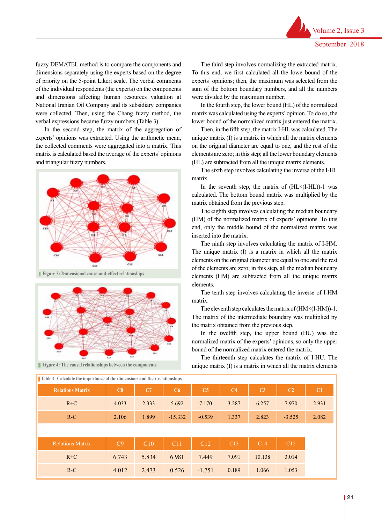fuzzy DEMATEL method is to compare the components and dimensions separately using the experts based on the degree of priority on the 5-point Likert scale. The verbal comments of the individual respondents (the experts) on the components and dimensions affecting human resources valuation at National Iranian Oil Company and its subsidiary companies were collected. Then, using the Chang fuzzy method, the verbal expressions became fuzzy numbers (Table 3).

In the second step, the matrix of the aggregation of experts' opinions was extracted. Using the arithmetic mean, the collected comments were aggregated into a matrix. This matrix is calculated based the average of the experts' opinions and triangular fuzzy numbers.



Figure 3: Dimensional cause-and-effect relationships **Figure 3: Dimensional cause-and-effect relationships** Figure 3: Dimensional cause-and-effect relationships



**Figure 4: The causal relationships between the components** Figure 4: The causal relationships between the components

of the components and their corresponding relationships were calculated (Tables 4 and 5). To obtain  $F_{\rm eff}$  and the causal relationships between the components between the components between the components of the components of the components of the components of the components of the components of the components of the

The third step involves normalizing the extracted matrix. To this end, we first calculated all the lowe bound of the experts' opinions; then, the maximum was selected from the sum of the bottom boundary numbers, and all the numbers were divided by the maximum number.

In the fourth step, the lower bound (HL) of the normalized matrix was calculated using the experts' opinion. To do so, the lower bound of the normalized matrix just entered the matrix.

Then, in the fifth step, the matrix I-HL was calculated. The unique matrix (I) is a matrix in which all the matrix elements on the original diameter are equal to one, and the rest of the elements are zero; in this step; all the lower boundary elements (HL) are subtracted from all the unique matrix elements.

The sixth step involves calculating the inverse of the I-HL matrix.

In the seventh step, the matrix of  $(HL\times (I-HL))$ -1 was calculated. The bottom bound matrix was multiplied by the matrix obtained from the previous step.

The eighth step involves calculating the median boundary (HM) of the normalized matrix of experts' opinions. To this end, only the middle bound of the normalized matrix was inserted into the matrix.

The ninth step involves calculating the matrix of I-HM. The unique matrix (I) is a matrix in which all the matrix elements on the original diameter are equal to one and the rest of the elements are zero; in this step, all the median boundary elements (HM) are subtracted from all the unique matrix elements.

The tenth step involves calculating the inverse of I-HM matrix.

The eleventh step calculates the matrix of  $(HM \times (I-HM))$ -1. The matrix of the intermediate boundary was multiplied by the matrix obtained from the previous step.

In the twelfth step, the upper bound (HU) was the normalized matrix of the experts' opinions, so only the upper bound of the normalized matrix entered the matrix.

The thirteenth step calculates the matrix of I-HU. The unique matrix (I) is a matrix in which all the matrix elements

| <b>Relations Matrix</b> | C8    | C7    | C6        | C5       | C <sub>4</sub> | C <sub>3</sub> | C <sub>2</sub> | C1    |
|-------------------------|-------|-------|-----------|----------|----------------|----------------|----------------|-------|
| $R+C$                   | 4.033 | 2.333 | 5.692     | 7.170    | 3.287          | 6.257          | 7.970          | 2.931 |
| $R-C$                   | 2.106 | 1.899 | $-15.332$ | $-0.539$ | 1.337          | 2.823          | $-3.525$       | 2.082 |
|                         |       |       |           |          |                |                |                |       |
|                         |       |       |           |          |                |                |                |       |
| <b>Relations Matrix</b> | C9    | C10   | C11       | C12      | C13            | C14            | C15            |       |
| $R+C$                   | 6.743 | 5.834 | 6.981     | 7.449    | 7.091          | 10.138         | 3.014          |       |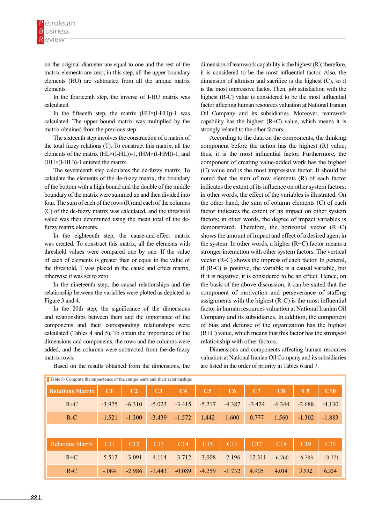on the original diameter are equal to one and the rest of the matrix elements are zero; in this step, all the upper boundary elements (HU) are subtracted from all the unique matrix elements.

In the fourteenth step, the inverse of I-HU matrix was calculated.

In the fifteenth step, the matrix  $(HU\times (I-HU))$ -1 was calculated. The upper bound matrix was multiplied by the matrix obtained from the previous step.

The sixteenth step involves the construction of a matrix of the total fuzzy relations (T). To construct this matrix, all the elements of the matrix (HL×(I-HL))-1, (HM×(I-HM))-1, and (HU×(I-HU))-1 entered the matrix.

The seventeenth step calculates the de-fuzzy matrix. To calculate the elements of the de-fuzzy matrix, the boundary of the bottom with a high bound and the double of the middle boundary of the matrix were summed up and then divided into four. The sum of each of the rows (R) and each of the columns (C) of the de-fuzzy matrix was calculated, and the threshold value was then determined using the mean total of the defuzzy matrix elements.

In the eighteenth step, the cause-and-effect matrix was created. To construct this matrix, all the elements with threshold values were compared one by one. If the value of each of elements is greater than or equal to the value of the threshold, 1 was placed in the cause and effect matrix, otherwise it was set to zero.

In the nineteenth step, the causal relationships and the relationship between the variables were plotted as depicted in Figure 3 and 4.

In the 20th step, the significance of the dimensions and relationships between them and the importance of the components and their corresponding relationships were calculated (Tables 4 and 5). To obtain the importance of the dimensions and components, the rows and the columns were added, and the columns were subtracted from the de-fuzzy matrix rows.

Based on the results obtained from the dimensions, the

dimension of teamwork capability is the highest (R); therefore, it is considered to be the most influential factor. Also, the dimension of altruism and sacrifice is the highest (C), so it is the most impressive factor. Then, job satisfaction with the highest (R-C) value is considered to be the most influential factor affecting human resources valuation at National Iranian Oil Company and its subsidiaries. Moreover, teamwork capability has the highest  $(R+C)$  value, which means it is strongly related to the other factors.

According to the data on the components, the thinking component before the action has the highest (R) value; thus, it is the most influential factor. Furthermore, the component of creating value-added work has the highest (C) value and is the most impressive factor. It should be noted that the sum of row elements (R) of each factor indicates the extent of its influence on other system factors; in other words, the effect of the variables is illustrated. On the other hand, the sum of column elements (C) of each factor indicates the extent of its impact on other system factors; in other words, the degree of impact variables is demonstrated. Therefore, the horizontal vector (R+C) shows the amount of impact and effect of a desired agent in the system. In other words, a higher  $(R+C)$  factor means a stronger interaction with other system factors. The vertical vector (R-C) shows the impress of each factor. In general, if (R-C) is positive, the variable is a causal variable, but if it is negative, it is considered to be an effect. Hence, on the basis of the above discussion, it can be stated that the component of motivation and perseverance of staffing assignments with the highest (R-C) is the most influential factor in human resources valuation at National Iranian Oil Company and its subsidiaries. In addition, the component of bias and defense of the organization has the highest (R+C) value, which means that this factor has the strongest relationship with other factors.

Dimensions and components affecting human resources valuation at National Iranian Oil Company and its subsidiaries are listed in the order of priority in Tables 6 and 7.

| Tubic compute the importance of the components and their reactionships |          |                 |                |                |                |          |                 |          |          |                 |
|------------------------------------------------------------------------|----------|-----------------|----------------|----------------|----------------|----------|-----------------|----------|----------|-----------------|
| <b>Relations Matrix</b>                                                | C1       | C <sub>2</sub>  | C <sub>3</sub> | C <sub>4</sub> | C <sub>5</sub> | C6       | C7              | C8       | C9       | C10             |
| $R+C$                                                                  | $-3.975$ | $-6.310$        | $-5.023$       | $-3.415$       | $-5.217$       | $-4.387$ | $-3.424$        | $-6.344$ | $-2.688$ | $-4.130$        |
| $R-C$                                                                  | $-1.521$ | $-1.300$        | $-3.439$       | $-1.572$       | 1.442          | 1.600    | 0.777           | 1.560    | $-1.302$ | $-1.883$        |
|                                                                        |          |                 |                |                |                |          |                 |          |          |                 |
| <b>Relations Matrix</b>                                                | C11      | C <sub>12</sub> | C13            | C14            | C15            | C16      | C <sub>17</sub> | C18      | C19      | C <sub>20</sub> |
| $R+C$                                                                  | $-5.512$ | $-3.091$        | $-4.114$       | $-3.712$       | $-3.008$       | $-2.196$ | $-12.311$       | $-6.760$ | $-6.783$ | $-13.771$       |
| $R-C$                                                                  | $-.084$  | $-2.986$        | $-1.443$       | $-0.089$       | $-4.259$       | $-1.732$ | 4.905           | 4.014    | 3.992    | 6.334           |

**Table 5- Compute the importance of the components and their relationships**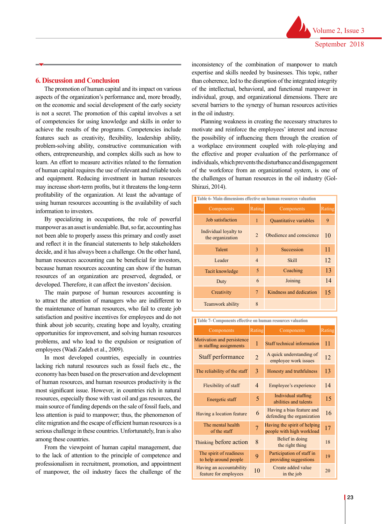#### **6. Discussion and Conclusion**

The promotion of human capital and its impact on various aspects of the organization's performance and, more broadly, on the economic and social development of the early society is not a secret. The promotion of this capital involves a set of competencies for using knowledge and skills in order to achieve the results of the programs. Competencies include features such as creativity, flexibility, leadership ability, problem-solving ability, constructive communication with others, entrepreneurship, and complex skills such as how to learn. An effort to measure activities related to the formation of human capital requires the use of relevant and reliable tools and equipment. Reducing investment in human resources may increase short-term profits, but it threatens the long-term profitability of the organization. At least the advantage of using human resources accounting is the availability of such information to investors.

By specializing in occupations, the role of powerful manpower as an asset is undeniable. But, so far, accounting has not been able to properly assess this primary and costly asset and reflect it in the financial statements to help stakeholders decide, and it has always been a challenge. On the other hand, human resources accounting can be beneficial for investors, because human resources accounting can show if the human resources of an organization are preserved, degraded, or developed. Therefore, it can affect the investors' decision.

The main purpose of human resources accounting is to attract the attention of managers who are indifferent to the maintenance of human resources, who fail to create job satisfaction and positive incentives for employees and do not think about job security, creating hope and loyalty, creating opportunities for improvement, and solving human resources problems, and who lead to the expulsion or resignation of employees (Wadi Zadeh et al., 2009).

In most developed countries, especially in countries lacking rich natural resources such as fossil fuels etc., the economy has been based on the preservation and development of human resources, and human resources productivity is the most significant issue. However, in countries rich in natural resources, especially those with vast oil and gas resources, the main source of funding depends on the sale of fossil fuels, and less attention is paid to manpower; thus, the phenomenon of elite migration and the escape of efficient human resources is a serious challenge in these countries. Unfortunately, Iran is also among these countries.

From the viewpoint of human capital management, due to the lack of attention to the principle of competence and professionalism in recruitment, promotion, and appointment of manpower, the oil industry faces the challenge of the inconsistency of the combination of manpower to match expertise and skills needed by businesses. This topic, rather than coherence, led to the disruption of the integrated integrity of the intellectual, behavioral, and functional manpower in individual, group, and organizational dimensions. There are several barriers to the synergy of human resources activities in the oil industry.

Planning weakness in creating the necessary structures to motivate and reinforce the employees' interest and increase the possibility of influencing them through the creation of a workplace environment coupled with role-playing and the effective and proper evaluation of the performance of individuals, which prevents the disturbance and disengagement of the workforce from an organizational system, is one of the challenges of human resources in the oil industry (Gol-Shirazi, 2014).

| Table 6- Main dimensions effective on human resources valuation |                |                          |    |  |  |  |  |  |
|-----------------------------------------------------------------|----------------|--------------------------|----|--|--|--|--|--|
| Components                                                      | Rating         | Rating<br>Components     |    |  |  |  |  |  |
| Job satisfaction                                                | 1              | Quantitative variables   | 9  |  |  |  |  |  |
| Individual loyalty to<br>the organization                       | $\mathfrak{D}$ | Obedience and conscience | 10 |  |  |  |  |  |
| Talent                                                          | 3              | Succession               | 11 |  |  |  |  |  |
| Leader                                                          | $\overline{4}$ | Skill                    | 12 |  |  |  |  |  |
| Tacit knowledge                                                 | 5              | Coaching                 | 13 |  |  |  |  |  |
| Duty                                                            | 6              | Joining                  | 14 |  |  |  |  |  |
| Creativity                                                      | $\overline{7}$ | Kindness and dedication  | 15 |  |  |  |  |  |
| Teamwork ability                                                | 8              |                          |    |  |  |  |  |  |

| Table 7- Components effective on human resources valuation |  |  |  |
|------------------------------------------------------------|--|--|--|

| Components                                            | Rating         | Components                                                | Rating |
|-------------------------------------------------------|----------------|-----------------------------------------------------------|--------|
| Motivation and persistence<br>in staffing assignments | $\mathbf{1}$   | Staff technical information                               | 11     |
| Staff performance                                     | $\overline{2}$ | A quick understanding of<br>employee work issues          | 12     |
| The reliability of the staff                          | 3              | Honesty and truthfulness                                  | 13     |
| Flexibility of staff                                  | $\overline{4}$ | Employee's experience                                     | 14     |
| Energetic staff                                       | 5              | Individual staffing<br>abilities and talents              | 15     |
| Having a location feature                             | 6              | Having a bias feature and<br>defending the organization   | 16     |
| The mental health<br>of the staff                     | 7              | Having the spirit of helping<br>people with high workload | 17     |
| Thinking before action                                | 8              | Belief in doing<br>the right thing                        | 18     |
| The spirit of readiness<br>to help around people      | 9              | Participation of staff in<br>providing suggestions        | 19     |
| Having an accountability<br>feature for employees     | 10             | Create added value<br>in the job                          | 20     |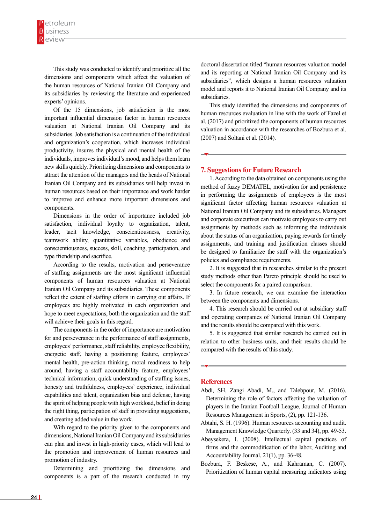This study was conducted to identify and prioritize all the dimensions and components which affect the valuation of the human resources of National Iranian Oil Company and its subsidiaries by reviewing the literature and experienced experts' opinions.

Of the 15 dimensions, job satisfaction is the most important influential dimension factor in human resources valuation at National Iranian Oil Company and its subsidiaries. Job satisfaction is a continuation of the individual and organization's cooperation, which increases individual productivity, insures the physical and mental health of the individuals, improves individual's mood, and helps them learn new skills quickly. Prioritizing dimensions and components to attract the attention of the managers and the heads of National Iranian Oil Company and its subsidiaries will help invest in human resources based on their importance and work harder to improve and enhance more important dimensions and components.

Dimensions in the order of importance included job satisfaction, individual loyalty to organization, talent, leader, tacit knowledge, conscientiousness, creativity, teamwork ability, quantitative variables, obedience and conscientiousness, success, skill, coaching, participation, and type friendship and sacrifice.

According to the results, motivation and perseverance of staffing assignments are the most significant influential components of human resources valuation at National Iranian Oil Company and its subsidiaries. These components reflect the extent of staffing efforts in carrying out affairs. If employees are highly motivated in each organization and hope to meet expectations, both the organization and the staff will achieve their goals in this regard.

The components in the order of importance are motivation for and perseverance in the performance of staff assignments, employees' performance, staff reliability, employee flexibility, energetic staff, having a positioning feature, employees' mental health, pre-action thinking, moral readiness to help around, having a staff accountability feature, employees' technical information, quick understanding of staffing issues, honesty and truthfulness, employees' experience, individual capabilities and talent, organization bias and defense, having the spirit of helping people with high workload, belief in doing the right thing, participation of staff in providing suggestions, and creating added value in the work.

With regard to the priority given to the components and dimensions, National Iranian Oil Company and its subsidiaries can plan and invest in high-priority cases, which will lead to the promotion and improvement of human resources and promotion of industry.

Determining and prioritizing the dimensions and components is a part of the research conducted in my doctoral dissertation titled "human resources valuation model and its reporting at National Iranian Oil Company and its subsidiaries", which designs a human resources valuation model and reports it to National Iranian Oil Company and its subsidiaries.

This study identified the dimensions and components of human resources evaluation in line with the work of Fazel et al. (2017) and prioritized the components of human resources valuation in accordance with the researches of Bozbura et al. (2007) and Soltani et al. (2014).

#### **7. Suggestions for Future Research**

1. According to the data obtained on components using the method of fuzzy DEMATEL, motivation for and persistence in performing the assignments of employees is the most significant factor affecting human resources valuation at National Iranian Oil Company and its subsidiaries. Managers and corporate executives can motivate employees to carry out assignments by methods such as informing the individuals about the status of an organization, paying rewards for timely assignments, and training and justification classes should be designed to familiarize the staff with the organization's policies and compliance requirements.

2. It is suggested that in researches similar to the present study methods other than Pareto principle should be used to select the components for a paired comparison.

3. In future research, we can examine the interaction between the components and dimensions.

4. This research should be carried out at subsidiary staff and operating companies of National Iranian Oil Company and the results should be compared with this work.

5. It is suggested that similar research be carried out in relation to other business units, and their results should be compared with the results of this study.

#### **References**

- Abdi, SH, Zangi Abadi, M., and Talebpour, M. (2016). Determining the role of factors affecting the valuation of players in the Iranian Football League, Journal of Human Resources Management in Sports, (2), pp. 121-136.
- Abtahi, S. H. (1996). Human resources accounting and audit. Management Knowledge Quarterly. (33 and 34), pp. 49-53.
- Abeysekera, I. (2008). Intellectual capital practices of firms and the commodification of the labor, Auditing and Accountability Journal, 21(1), pp. 36-48.
- Bozbura, F. Beskese, A., and Kahraman, C. (2007). Prioritization of human capital measuring indicators using